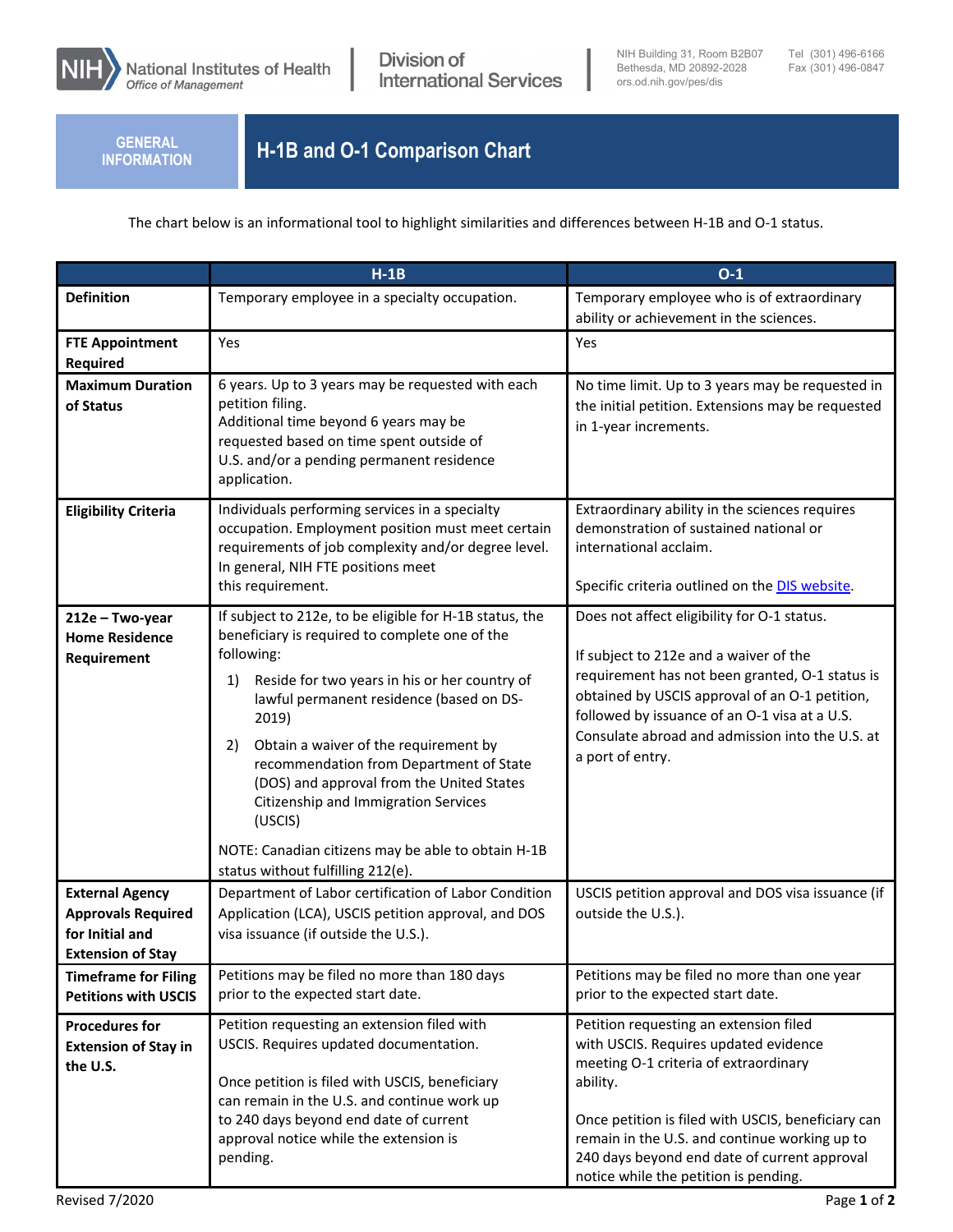

**INFORMATION**

## **H-1B and O-1 Comparison Chart H-1B and O-1 Comparison Chart**

The chart below is an informational tool to highlight similarities and differences between H-1B and O-1 status.

|                                                                                                    | $H-1B$                                                                                                                                                                                                                                                                                                                                                                                                                                                                                                                   | $O-1$                                                                                                                                                                                                                                                                                                                                |
|----------------------------------------------------------------------------------------------------|--------------------------------------------------------------------------------------------------------------------------------------------------------------------------------------------------------------------------------------------------------------------------------------------------------------------------------------------------------------------------------------------------------------------------------------------------------------------------------------------------------------------------|--------------------------------------------------------------------------------------------------------------------------------------------------------------------------------------------------------------------------------------------------------------------------------------------------------------------------------------|
| <b>Definition</b>                                                                                  | Temporary employee in a specialty occupation.                                                                                                                                                                                                                                                                                                                                                                                                                                                                            | Temporary employee who is of extraordinary<br>ability or achievement in the sciences.                                                                                                                                                                                                                                                |
| <b>FTE Appointment</b><br><b>Required</b>                                                          | Yes                                                                                                                                                                                                                                                                                                                                                                                                                                                                                                                      | Yes                                                                                                                                                                                                                                                                                                                                  |
| <b>Maximum Duration</b><br>of Status                                                               | 6 years. Up to 3 years may be requested with each<br>petition filing.<br>Additional time beyond 6 years may be<br>requested based on time spent outside of<br>U.S. and/or a pending permanent residence<br>application.                                                                                                                                                                                                                                                                                                  | No time limit. Up to 3 years may be requested in<br>the initial petition. Extensions may be requested<br>in 1-year increments.                                                                                                                                                                                                       |
| <b>Eligibility Criteria</b>                                                                        | Individuals performing services in a specialty<br>occupation. Employment position must meet certain<br>requirements of job complexity and/or degree level.<br>In general, NIH FTE positions meet<br>this requirement.                                                                                                                                                                                                                                                                                                    | Extraordinary ability in the sciences requires<br>demonstration of sustained national or<br>international acclaim.<br>Specific criteria outlined on the DIS website.                                                                                                                                                                 |
| 212e - Two-year<br><b>Home Residence</b><br>Requirement                                            | If subject to 212e, to be eligible for H-1B status, the<br>beneficiary is required to complete one of the<br>following:<br>Reside for two years in his or her country of<br>1)<br>lawful permanent residence (based on DS-<br>2019)<br>Obtain a waiver of the requirement by<br>2)<br>recommendation from Department of State<br>(DOS) and approval from the United States<br>Citizenship and Immigration Services<br>(USCIS)<br>NOTE: Canadian citizens may be able to obtain H-1B<br>status without fulfilling 212(e). | Does not affect eligibility for O-1 status.<br>If subject to 212e and a waiver of the<br>requirement has not been granted, O-1 status is<br>obtained by USCIS approval of an O-1 petition,<br>followed by issuance of an O-1 visa at a U.S.<br>Consulate abroad and admission into the U.S. at<br>a port of entry.                   |
| <b>External Agency</b><br><b>Approvals Required</b><br>for Initial and<br><b>Extension of Stay</b> | Department of Labor certification of Labor Condition<br>Application (LCA), USCIS petition approval, and DOS<br>visa issuance (if outside the U.S.).                                                                                                                                                                                                                                                                                                                                                                      | USCIS petition approval and DOS visa issuance (if<br>outside the U.S.).                                                                                                                                                                                                                                                              |
| <b>Timeframe for Filing</b><br><b>Petitions with USCIS</b>                                         | Petitions may be filed no more than 180 days<br>prior to the expected start date.                                                                                                                                                                                                                                                                                                                                                                                                                                        | Petitions may be filed no more than one year<br>prior to the expected start date.                                                                                                                                                                                                                                                    |
| <b>Procedures for</b><br><b>Extension of Stay in</b><br>the U.S.                                   | Petition requesting an extension filed with<br>USCIS. Requires updated documentation.<br>Once petition is filed with USCIS, beneficiary<br>can remain in the U.S. and continue work up<br>to 240 days beyond end date of current<br>approval notice while the extension is<br>pending.                                                                                                                                                                                                                                   | Petition requesting an extension filed<br>with USCIS. Requires updated evidence<br>meeting O-1 criteria of extraordinary<br>ability.<br>Once petition is filed with USCIS, beneficiary can<br>remain in the U.S. and continue working up to<br>240 days beyond end date of current approval<br>notice while the petition is pending. |